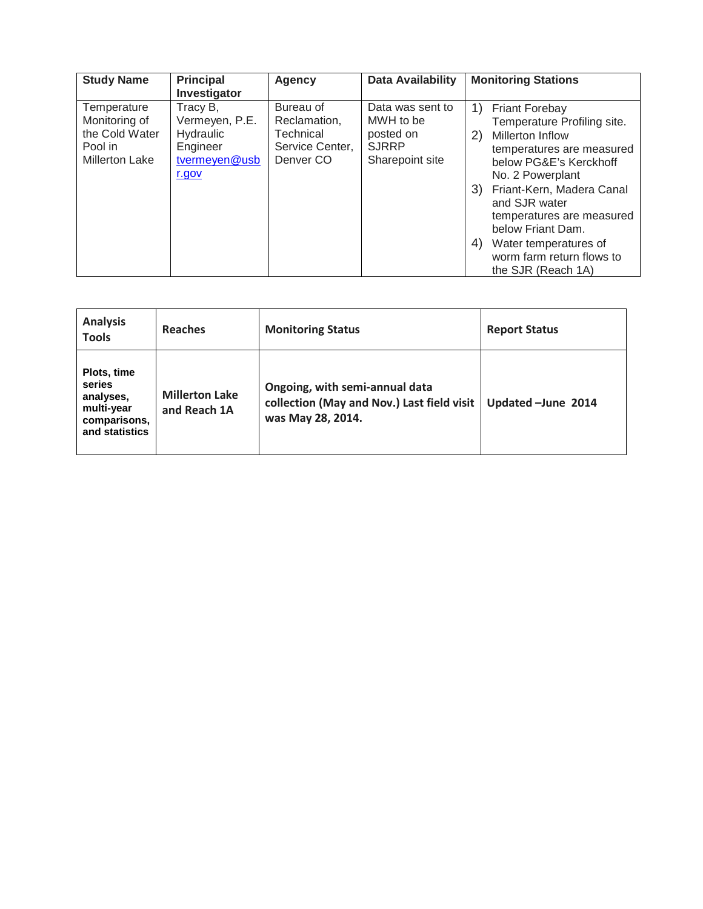| <b>Study Name</b>                                                                  | <b>Principal</b><br>Investigator                                              | Agency                                                                            | Data Availability                                                             | <b>Monitoring Stations</b>                                                                                                                                                                                                                                                                                                                                     |
|------------------------------------------------------------------------------------|-------------------------------------------------------------------------------|-----------------------------------------------------------------------------------|-------------------------------------------------------------------------------|----------------------------------------------------------------------------------------------------------------------------------------------------------------------------------------------------------------------------------------------------------------------------------------------------------------------------------------------------------------|
| Temperature<br>Monitoring of<br>the Cold Water<br>Pool in<br><b>Millerton Lake</b> | Tracy B,<br>Vermeyen, P.E.<br>Hydraulic<br>Engineer<br>tvermeyen@usb<br>r.gov | Bureau of<br>Reclamation,<br>Technical<br>Service Center,<br>Denver <sub>CO</sub> | Data was sent to<br>MWH to be<br>posted on<br><b>SJRRP</b><br>Sharepoint site | 1)<br><b>Friant Forebay</b><br>Temperature Profiling site.<br>2)<br><b>Millerton Inflow</b><br>temperatures are measured<br>below PG&E's Kerckhoff<br>No. 2 Powerplant<br>Friant-Kern, Madera Canal<br>3)<br>and SJR water<br>temperatures are measured<br>below Friant Dam.<br>4)<br>Water temperatures of<br>worm farm return flows to<br>the SJR (Reach 1A) |

| <b>Analysis</b><br><b>Tools</b>                                                    | Reaches                               | <b>Monitoring Status</b>                                                                          | <b>Report Status</b> |
|------------------------------------------------------------------------------------|---------------------------------------|---------------------------------------------------------------------------------------------------|----------------------|
| Plots, time<br>series<br>analyses,<br>multi-year<br>comparisons,<br>and statistics | <b>Millerton Lake</b><br>and Reach 1A | Ongoing, with semi-annual data<br>collection (May and Nov.) Last field visit<br>was May 28, 2014. | Updated -June 2014   |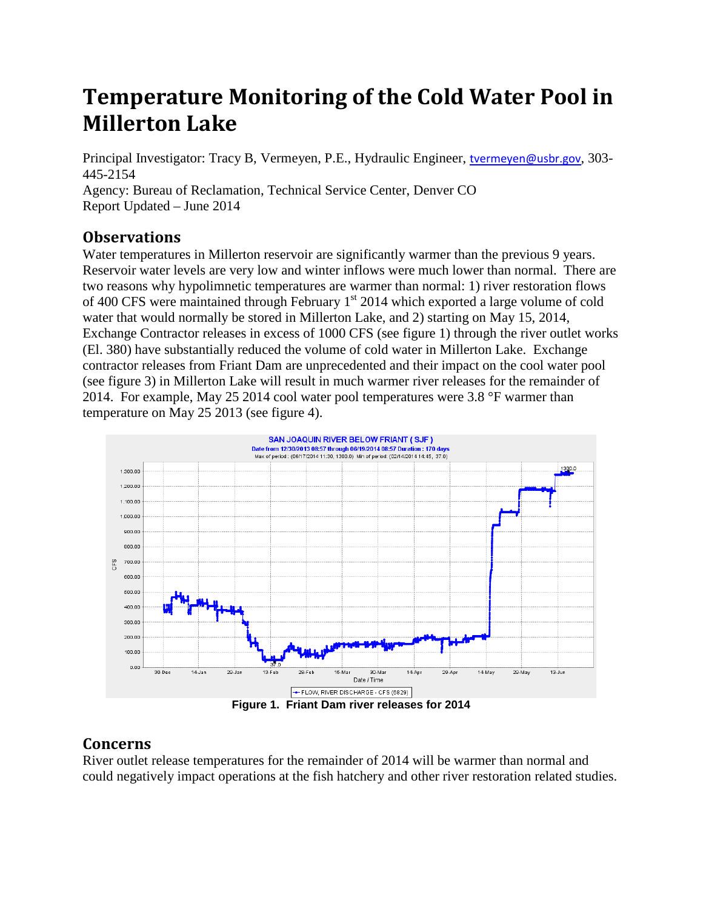## **Temperature Monitoring of the Cold Water Pool in Millerton Lake**

Principal Investigator: Tracy B, Vermeyen, P.E., Hydraulic Engineer, [tvermeyen@usbr.gov](mailto:tvermeyen@usbr.gov), 303- 445-2154

Agency: Bureau of Reclamation, Technical Service Center, Denver CO Report Updated – June 2014

## **Observations**

Water temperatures in Millerton reservoir are significantly warmer than the previous 9 years. Reservoir water levels are very low and winter inflows were much lower than normal. There are two reasons why hypolimnetic temperatures are warmer than normal: 1) river restoration flows of 400 CFS were maintained through February  $1<sup>st</sup>$  2014 which exported a large volume of cold water that would normally be stored in Millerton Lake, and 2) starting on May 15, 2014, Exchange Contractor releases in excess of 1000 CFS (see figure 1) through the river outlet works (El. 380) have substantially reduced the volume of cold water in Millerton Lake. Exchange contractor releases from Friant Dam are unprecedented and their impact on the cool water pool (see figure 3) in Millerton Lake will result in much warmer river releases for the remainder of 2014. For example, May 25 2014 cool water pool temperatures were 3.8 °F warmer than temperature on May 25 2013 (see figure 4).



## **Concerns**

River outlet release temperatures for the remainder of 2014 will be warmer than normal and could negatively impact operations at the fish hatchery and other river restoration related studies.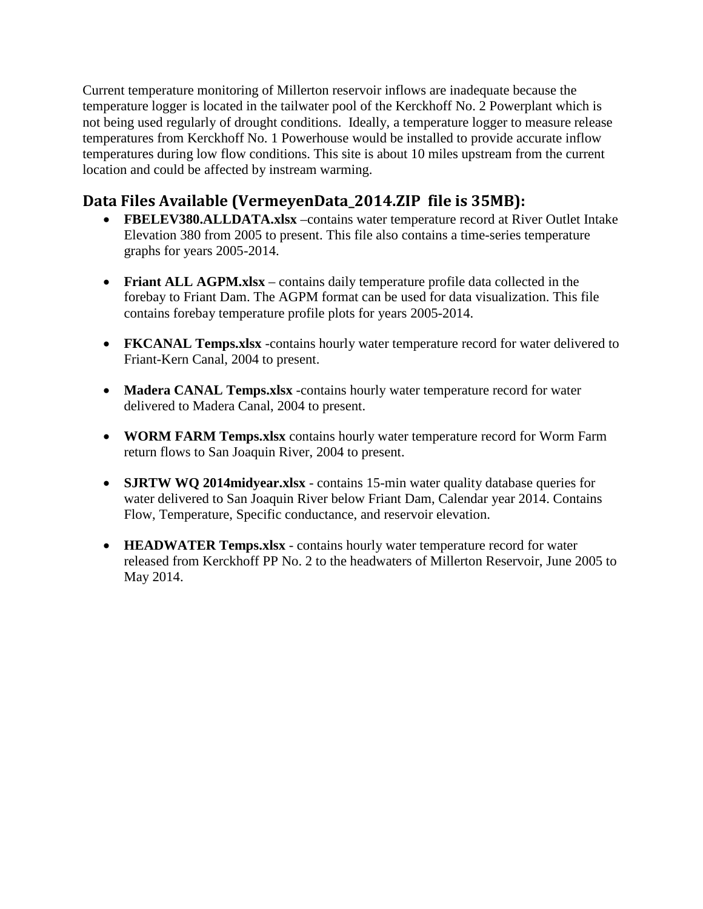Current temperature monitoring of Millerton reservoir inflows are inadequate because the temperature logger is located in the tailwater pool of the Kerckhoff No. 2 Powerplant which is not being used regularly of drought conditions. Ideally, a temperature logger to measure release temperatures from Kerckhoff No. 1 Powerhouse would be installed to provide accurate inflow temperatures during low flow conditions. This site is about 10 miles upstream from the current location and could be affected by instream warming.

## **Data Files Available (VermeyenData\_2014.ZIP file is 35MB):**

- **FBELEV380.ALLDATA.xlsx** –contains water temperature record at River Outlet Intake Elevation 380 from 2005 to present. This file also contains a time-series temperature graphs for years 2005-2014.
- **Friant ALL AGPM.xlsx** contains daily temperature profile data collected in the forebay to Friant Dam. The AGPM format can be used for data visualization. This file contains forebay temperature profile plots for years 2005-2014.
- **FKCANAL Temps.xlsx** -contains hourly water temperature record for water delivered to Friant-Kern Canal, 2004 to present.
- **Madera CANAL Temps.xlsx** -contains hourly water temperature record for water delivered to Madera Canal, 2004 to present.
- **WORM FARM Temps.xlsx** contains hourly water temperature record for Worm Farm return flows to San Joaquin River, 2004 to present.
- **SJRTW WQ 2014midyear.xlsx** contains 15-min water quality database queries for water delivered to San Joaquin River below Friant Dam, Calendar year 2014. Contains Flow, Temperature, Specific conductance, and reservoir elevation.
- **HEADWATER Temps.xlsx** contains hourly water temperature record for water released from Kerckhoff PP No. 2 to the headwaters of Millerton Reservoir, June 2005 to May 2014.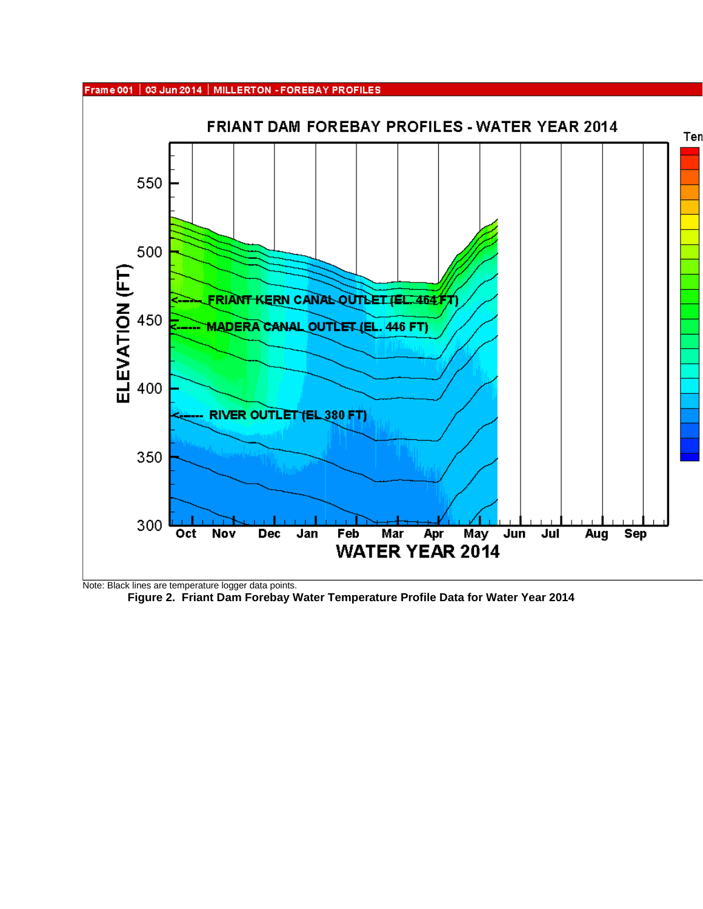

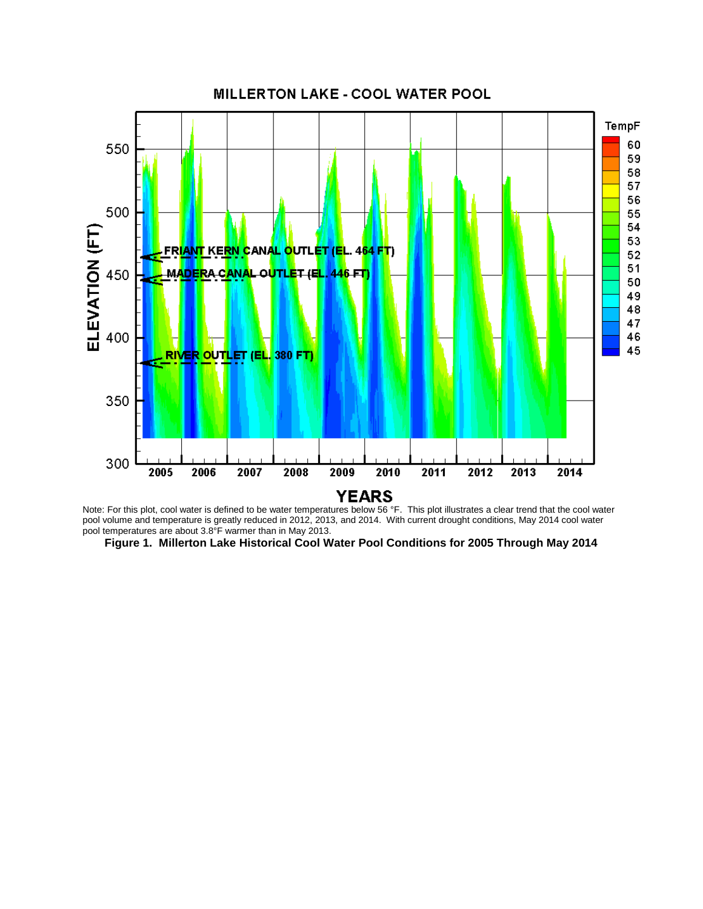

Note: For this plot, cool water is defined to be water temperatures below 56 °F. This plot illustrates a clear trend that the cool water pool volume and temperature is greatly reduced in 2012, 2013, and 2014. With current drought conditions, May 2014 cool water pool temperatures are about 3.8°F warmer than in May 2013.

**Figure 1. Millerton Lake Historical Cool Water Pool Conditions for 2005 Through May 2014**